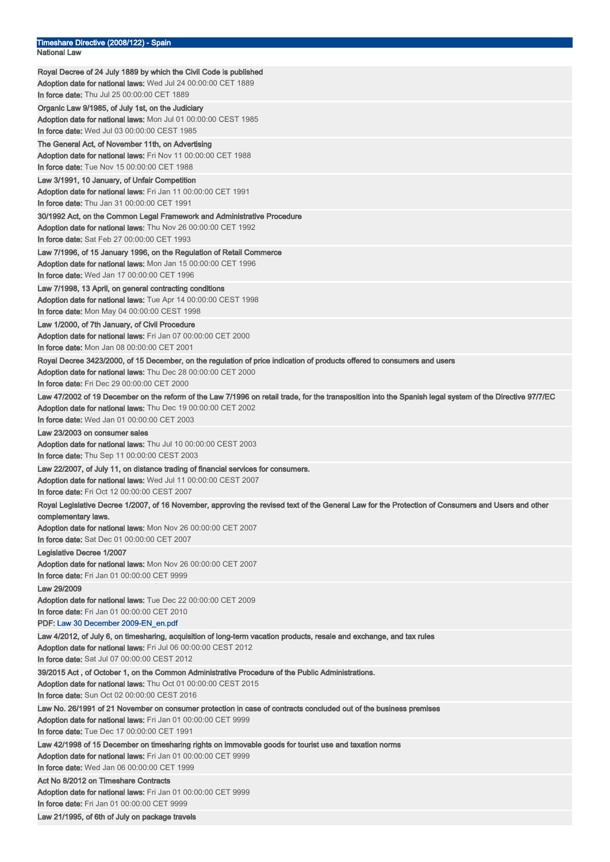| Timeshare Directive (2008/122) - Spain                                                                                                                                    |
|---------------------------------------------------------------------------------------------------------------------------------------------------------------------------|
| National Law                                                                                                                                                              |
| Royal Decree of 24 July 1889 by which the Civil Code is published                                                                                                         |
| Adoption date for national laws: Wed Jul 24 00:00:00 CET 1889                                                                                                             |
| In force date: Thu Jul 25 00:00:00 CET 1889                                                                                                                               |
| Organic Law 9/1985, of July 1st, on the Judiciary                                                                                                                         |
| Adoption date for national laws: Mon Jul 01 00:00:00 CEST 1985                                                                                                            |
| In force date: Wed Jul 03 00:00:00 CEST 1985                                                                                                                              |
| The General Act, of November 11th, on Advertising                                                                                                                         |
| Adoption date for national laws: Fri Nov 11 00:00:00 CET 1988                                                                                                             |
| In force date: Tue Nov 15 00:00:00 CET 1988                                                                                                                               |
| Law 3/1991, 10 January, of Unfair Competition                                                                                                                             |
| Adoption date for national laws: Fri Jan 11 00:00:00 CET 1991                                                                                                             |
| In force date: Thu Jan 31 00:00:00 CET 1991                                                                                                                               |
| 30/1992 Act, on the Common Legal Framework and Administrative Procedure                                                                                                   |
| Adoption date for national laws: Thu Nov 26 00:00:00 CET 1992<br>In force date: Sat Feb 27 00:00:00 CET 1993                                                              |
|                                                                                                                                                                           |
| Law 7/1996, of 15 January 1996, on the Regulation of Retail Commerce<br>Adoption date for national laws: Mon Jan 15 00:00:00 CET 1996                                     |
| In force date: Wed Jan 17 00:00:00 CET 1996                                                                                                                               |
| Law 7/1998, 13 April, on general contracting conditions                                                                                                                   |
| Adoption date for national laws: Tue Apr 14 00:00:00 CEST 1998                                                                                                            |
| In force date: Mon May 04 00:00:00 CEST 1998                                                                                                                              |
| Law 1/2000, of 7th January, of Civil Procedure                                                                                                                            |
| Adoption date for national laws: Fri Jan 07 00:00:00 CET 2000                                                                                                             |
| <b>In force date:</b> Mon Jan 08 00:00:00 CET 2001                                                                                                                        |
| Royal Decree 3423/2000, of 15 December, on the regulation of price indication of products offered to consumers and users                                                  |
| Adoption date for national laws: Thu Dec 28 00:00:00 CET 2000                                                                                                             |
| <b>In force date:</b> Fri Dec 29 00:00:00 CET 2000                                                                                                                        |
| Law 47/2002 of 19 December on the reform of the Law 7/1996 on retail trade, for the transposition into the Spanish legal system of the Directive 97/7/EC                  |
| Adoption date for national laws: Thu Dec 19 00:00:00 CET 2002                                                                                                             |
| In force date: Wed Jan 01 00:00:00 CET 2003                                                                                                                               |
| Law 23/2003 on consumer sales                                                                                                                                             |
| Adoption date for national laws: Thu Jul 10 00:00:00 CEST 2003<br>In force date: Thu Sep 11 00:00:00 CEST 2003                                                            |
|                                                                                                                                                                           |
|                                                                                                                                                                           |
| Law 22/2007, of July 11, on distance trading of financial services for consumers.                                                                                         |
| Adoption date for national laws: Wed Jul 11 00:00:00 CEST 2007<br>In force date: Fri Oct 12 00:00:00 CEST 2007                                                            |
|                                                                                                                                                                           |
| Royal Legislative Decree 1/2007, of 16 November, approving the revised text of the General Law for the Protection of Consumers and Users and other<br>complementary laws. |
| Adoption date for national laws: Mon Nov 26 00:00:00 CET 2007                                                                                                             |
| In force date: Sat Dec 01 00:00:00 CET 2007                                                                                                                               |
| Legislative Decree 1/2007                                                                                                                                                 |
| Adoption date for national laws: Mon Nov 26 00:00:00 CET 2007                                                                                                             |
| In force date: Fri Jan 01 00:00:00 CET 9999                                                                                                                               |
| Law 29/2009                                                                                                                                                               |
| <b>Adoption date for national laws:</b> Tue Dec 22 00:00:00 CET 2009                                                                                                      |
| <b>In force date:</b> Fri Jan 01 00:00:00 CET 2010                                                                                                                        |
| PDF: Law 30 December 2009-EN_en.pdf                                                                                                                                       |
| Law 4/2012, of July 6, on timesharing, acquisition of long-term vacation products, resale and exchange, and tax rules                                                     |
| Adoption date for national laws: Fri Jul 06 00:00:00 CEST 2012                                                                                                            |
| In force date: Sat Jul 07 00:00:00 CEST 2012                                                                                                                              |
| 39/2015 Act , of October 1, on the Common Administrative Procedure of the Public Administrations.                                                                         |
| Adoption date for national laws: Thu Oct 01 00:00:00 CEST 2015<br>In force date: Sun Oct 02 00:00:00 CEST 2016                                                            |
| Law No. 26/1991 of 21 November on consumer protection in case of contracts concluded out of the business premises                                                         |
| Adoption date for national laws: Fri Jan 01 00:00:00 CET 9999                                                                                                             |
| In force date: Tue Dec 17 00:00:00 CET 1991                                                                                                                               |
| Law 42/1998 of 15 December on timesharing rights on immovable goods for tourist use and taxation norms                                                                    |
| Adoption date for national laws: Fri Jan 01 00:00:00 CET 9999                                                                                                             |
| In force date: Wed Jan 06 00:00:00 CET 1999                                                                                                                               |
| Act No 8/2012 on Timeshare Contracts                                                                                                                                      |
| Adoption date for national laws: Fri Jan 01 00:00:00 CET 9999<br>In force date: Fri Jan 01 00:00:00 CET 9999                                                              |

Law 21/1995, of 6th of July on package travels